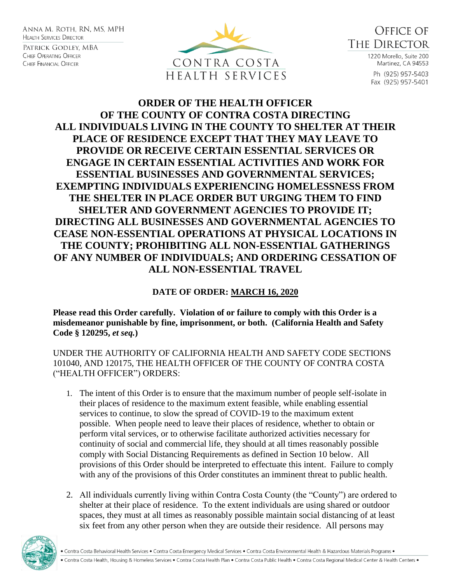ANNA M. ROTH. RN. MS. MPH **HEALTH SERVICES DIRECTOR** 

Patrick Godley, MBA CHIEF OPERATING OFFICER CHIEF FINANCIAL OFFICER





1220 Morello, Suite 200 Martinez, CA 94553 Ph (925) 957-5403 Fax (925) 957-5401

## **ORDER OF THE HEALTH OFFICER OF THE COUNTY OF CONTRA COSTA DIRECTING ALL INDIVIDUALS LIVING IN THE COUNTY TO SHELTER AT THEIR PLACE OF RESIDENCE EXCEPT THAT THEY MAY LEAVE TO PROVIDE OR RECEIVE CERTAIN ESSENTIAL SERVICES OR ENGAGE IN CERTAIN ESSENTIAL ACTIVITIES AND WORK FOR ESSENTIAL BUSINESSES AND GOVERNMENTAL SERVICES; EXEMPTING INDIVIDUALS EXPERIENCING HOMELESSNESS FROM THE SHELTER IN PLACE ORDER BUT URGING THEM TO FIND SHELTER AND GOVERNMENT AGENCIES TO PROVIDE IT; DIRECTING ALL BUSINESSES AND GOVERNMENTAL AGENCIES TO CEASE NON-ESSENTIAL OPERATIONS AT PHYSICAL LOCATIONS IN THE COUNTY; PROHIBITING ALL NON-ESSENTIAL GATHERINGS OF ANY NUMBER OF INDIVIDUALS; AND ORDERING CESSATION OF ALL NON-ESSENTIAL TRAVEL**

## **DATE OF ORDER: MARCH 16, 2020**

**Please read this Order carefully. Violation of or failure to comply with this Order is a misdemeanor punishable by fine, imprisonment, or both. (California Health and Safety Code § 120295,** *et seq.***)**

UNDER THE AUTHORITY OF CALIFORNIA HEALTH AND SAFETY CODE SECTIONS 101040, AND 120175, THE HEALTH OFFICER OF THE COUNTY OF CONTRA COSTA ("HEALTH OFFICER") ORDERS:

- 1. The intent of this Order is to ensure that the maximum number of people self-isolate in their places of residence to the maximum extent feasible, while enabling essential services to continue, to slow the spread of COVID-19 to the maximum extent possible. When people need to leave their places of residence, whether to obtain or perform vital services, or to otherwise facilitate authorized activities necessary for continuity of social and commercial life, they should at all times reasonably possible comply with Social Distancing Requirements as defined in Section 10 below. All provisions of this Order should be interpreted to effectuate this intent. Failure to comply with any of the provisions of this Order constitutes an imminent threat to public health.
- 2. All individuals currently living within Contra Costa County (the "County") are ordered to shelter at their place of residence. To the extent individuals are using shared or outdoor spaces, they must at all times as reasonably possible maintain social distancing of at least six feet from any other person when they are outside their residence. All persons may

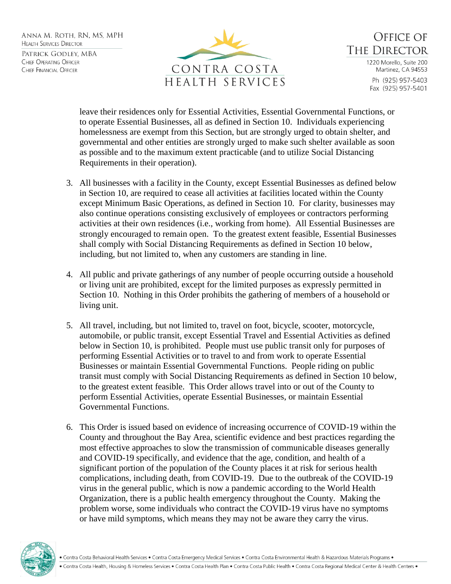ANNA M. ROTH. RN. MS. MPH **HEALTH SERVICES DIRECTOR** PATRICK GODLEY, MBA CHIEF OPERATING OFFICER CHIEF FINANCIAL OFFICER



**OFFICE OF** THE DIRECTOR 1220 Morello, Suite 200 Martinez, CA 94553 Ph (925) 957-5403 Fax (925) 957-5401

leave their residences only for Essential Activities, Essential Governmental Functions, or to operate Essential Businesses, all as defined in Section 10. Individuals experiencing homelessness are exempt from this Section, but are strongly urged to obtain shelter, and governmental and other entities are strongly urged to make such shelter available as soon as possible and to the maximum extent practicable (and to utilize Social Distancing Requirements in their operation).

- 3. All businesses with a facility in the County, except Essential Businesses as defined below in Section 10, are required to cease all activities at facilities located within the County except Minimum Basic Operations, as defined in Section 10. For clarity, businesses may also continue operations consisting exclusively of employees or contractors performing activities at their own residences (i.e., working from home). All Essential Businesses are strongly encouraged to remain open. To the greatest extent feasible, Essential Businesses shall comply with Social Distancing Requirements as defined in Section 10 below, including, but not limited to, when any customers are standing in line.
- 4. All public and private gatherings of any number of people occurring outside a household or living unit are prohibited, except for the limited purposes as expressly permitted in Section 10. Nothing in this Order prohibits the gathering of members of a household or living unit.
- 5. All travel, including, but not limited to, travel on foot, bicycle, scooter, motorcycle, automobile, or public transit, except Essential Travel and Essential Activities as defined below in Section 10, is prohibited. People must use public transit only for purposes of performing Essential Activities or to travel to and from work to operate Essential Businesses or maintain Essential Governmental Functions. People riding on public transit must comply with Social Distancing Requirements as defined in Section 10 below, to the greatest extent feasible. This Order allows travel into or out of the County to perform Essential Activities, operate Essential Businesses, or maintain Essential Governmental Functions.
- 6. This Order is issued based on evidence of increasing occurrence of COVID-19 within the County and throughout the Bay Area, scientific evidence and best practices regarding the most effective approaches to slow the transmission of communicable diseases generally and COVID-19 specifically, and evidence that the age, condition, and health of a significant portion of the population of the County places it at risk for serious health complications, including death, from COVID-19. Due to the outbreak of the COVID-19 virus in the general public, which is now a pandemic according to the World Health Organization, there is a public health emergency throughout the County. Making the problem worse, some individuals who contract the COVID-19 virus have no symptoms or have mild symptoms, which means they may not be aware they carry the virus.

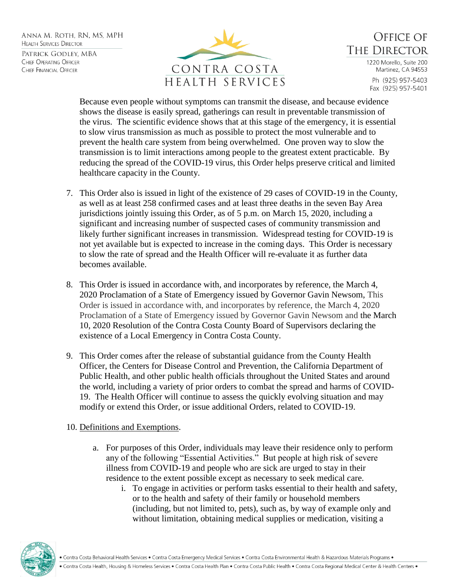ANNA M. ROTH. RN. MS. MPH **HEALTH SERVICES DIRECTOR** PATRICK GODLEY, MBA CHIEF OPERATING OFFICER CHIEF FINANCIAL OFFICER



**OFFICE OF** THE DIRECTOR 1220 Morello, Suite 200 Martinez, CA 94553 Ph (925) 957-5403 Fax (925) 957-5401

Because even people without symptoms can transmit the disease, and because evidence shows the disease is easily spread, gatherings can result in preventable transmission of the virus. The scientific evidence shows that at this stage of the emergency, it is essential to slow virus transmission as much as possible to protect the most vulnerable and to prevent the health care system from being overwhelmed. One proven way to slow the transmission is to limit interactions among people to the greatest extent practicable. By reducing the spread of the COVID-19 virus, this Order helps preserve critical and limited healthcare capacity in the County.

- 7. This Order also is issued in light of the existence of 29 cases of COVID-19 in the County, as well as at least 258 confirmed cases and at least three deaths in the seven Bay Area jurisdictions jointly issuing this Order, as of 5 p.m. on March 15, 2020, including a significant and increasing number of suspected cases of community transmission and likely further significant increases in transmission. Widespread testing for COVID-19 is not yet available but is expected to increase in the coming days. This Order is necessary to slow the rate of spread and the Health Officer will re-evaluate it as further data becomes available.
- 8. This Order is issued in accordance with, and incorporates by reference, the March 4, 2020 Proclamation of a State of Emergency issued by Governor Gavin Newsom, This Order is issued in accordance with, and incorporates by reference, the March 4, 2020 Proclamation of a State of Emergency issued by Governor Gavin Newsom and the March 10, 2020 Resolution of the Contra Costa County Board of Supervisors declaring the existence of a Local Emergency in Contra Costa County.
- 9. This Order comes after the release of substantial guidance from the County Health Officer, the Centers for Disease Control and Prevention, the California Department of Public Health, and other public health officials throughout the United States and around the world, including a variety of prior orders to combat the spread and harms of COVID-19. The Health Officer will continue to assess the quickly evolving situation and may modify or extend this Order, or issue additional Orders, related to COVID-19.

## 10. Definitions and Exemptions.

- a. For purposes of this Order, individuals may leave their residence only to perform any of the following "Essential Activities." But people at high risk of severe illness from COVID-19 and people who are sick are urged to stay in their residence to the extent possible except as necessary to seek medical care.
	- i. To engage in activities or perform tasks essential to their health and safety, or to the health and safety of their family or household members (including, but not limited to, pets), such as, by way of example only and without limitation, obtaining medical supplies or medication, visiting a

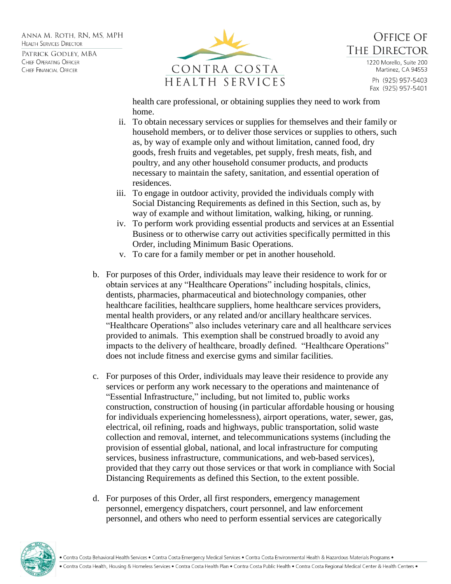ANNA M. ROTH. RN. MS. MPH **HEALTH SERVICES DIRECTOR** 

PATRICK GODLEY, MBA CHIEF OPERATING OFFICER CHIEF FINANCIAL OFFICER



**OFFICE OF THE DIRECTOR** 1220 Morello, Suite 200 Martinez, CA 94553 Ph (925) 957-5403 Fax (925) 957-5401

health care professional, or obtaining supplies they need to work from home.

- ii. To obtain necessary services or supplies for themselves and their family or household members, or to deliver those services or supplies to others, such as, by way of example only and without limitation, canned food, dry goods, fresh fruits and vegetables, pet supply, fresh meats, fish, and poultry, and any other household consumer products, and products necessary to maintain the safety, sanitation, and essential operation of residences.
- iii. To engage in outdoor activity, provided the individuals comply with Social Distancing Requirements as defined in this Section, such as, by way of example and without limitation, walking, hiking, or running.
- iv. To perform work providing essential products and services at an Essential Business or to otherwise carry out activities specifically permitted in this Order, including Minimum Basic Operations.
- v. To care for a family member or pet in another household.
- b. For purposes of this Order, individuals may leave their residence to work for or obtain services at any "Healthcare Operations" including hospitals, clinics, dentists, pharmacies, pharmaceutical and biotechnology companies, other healthcare facilities, healthcare suppliers, home healthcare services providers, mental health providers, or any related and/or ancillary healthcare services. "Healthcare Operations" also includes veterinary care and all healthcare services provided to animals. This exemption shall be construed broadly to avoid any impacts to the delivery of healthcare, broadly defined. "Healthcare Operations" does not include fitness and exercise gyms and similar facilities.
- c. For purposes of this Order, individuals may leave their residence to provide any services or perform any work necessary to the operations and maintenance of "Essential Infrastructure," including, but not limited to, public works construction, construction of housing (in particular affordable housing or housing for individuals experiencing homelessness), airport operations, water, sewer, gas, electrical, oil refining, roads and highways, public transportation, solid waste collection and removal, internet, and telecommunications systems (including the provision of essential global, national, and local infrastructure for computing services, business infrastructure, communications, and web-based services), provided that they carry out those services or that work in compliance with Social Distancing Requirements as defined this Section, to the extent possible.
- d. For purposes of this Order, all first responders, emergency management personnel, emergency dispatchers, court personnel, and law enforcement personnel, and others who need to perform essential services are categorically



. Contra Costa Behavioral Health Services . Contra Costa Emergency Medical Services . Contra Costa Environmental Health & Hazardous Materials Programs .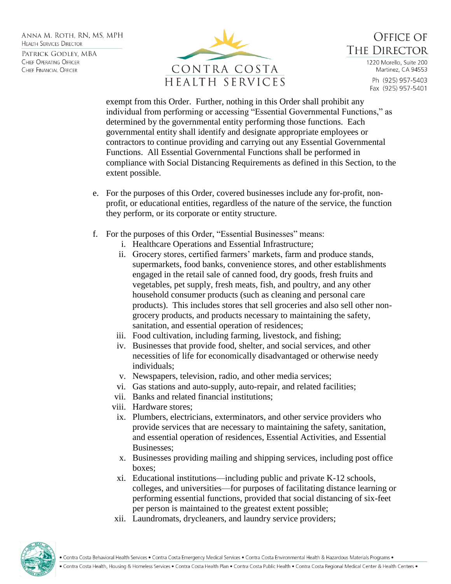ANNA M. ROTH. RN. MS. MPH **HEALTH SERVICES DIRECTOR** PATRICK GODLEY, MBA CHIEF OPERATING OFFICER CHIEF FINANCIAL OFFICER



**OFFICE OF THE DIRECTOR** 1220 Morello, Suite 200 Martinez, CA 94553

> Ph (925) 957-5403 Fax (925) 957-5401

exempt from this Order. Further, nothing in this Order shall prohibit any individual from performing or accessing "Essential Governmental Functions," as determined by the governmental entity performing those functions. Each governmental entity shall identify and designate appropriate employees or contractors to continue providing and carrying out any Essential Governmental Functions. All Essential Governmental Functions shall be performed in compliance with Social Distancing Requirements as defined in this Section, to the extent possible.

- e. For the purposes of this Order, covered businesses include any for-profit, nonprofit, or educational entities, regardless of the nature of the service, the function they perform, or its corporate or entity structure.
- f. For the purposes of this Order, "Essential Businesses" means:
	- i. Healthcare Operations and Essential Infrastructure;
	- ii. Grocery stores, certified farmers' markets, farm and produce stands, supermarkets, food banks, convenience stores, and other establishments engaged in the retail sale of canned food, dry goods, fresh fruits and vegetables, pet supply, fresh meats, fish, and poultry, and any other household consumer products (such as cleaning and personal care products). This includes stores that sell groceries and also sell other nongrocery products, and products necessary to maintaining the safety, sanitation, and essential operation of residences;
	- iii. Food cultivation, including farming, livestock, and fishing;
	- iv. Businesses that provide food, shelter, and social services, and other necessities of life for economically disadvantaged or otherwise needy individuals;
	- v. Newspapers, television, radio, and other media services;
	- vi. Gas stations and auto-supply, auto-repair, and related facilities;
	- vii. Banks and related financial institutions;
	- viii. Hardware stores;
		- ix. Plumbers, electricians, exterminators, and other service providers who provide services that are necessary to maintaining the safety, sanitation, and essential operation of residences, Essential Activities, and Essential Businesses;
		- x. Businesses providing mailing and shipping services, including post office boxes;
		- xi. Educational institutions—including public and private K-12 schools, colleges, and universities—for purposes of facilitating distance learning or performing essential functions, provided that social distancing of six-feet per person is maintained to the greatest extent possible;
	- xii. Laundromats, drycleaners, and laundry service providers;

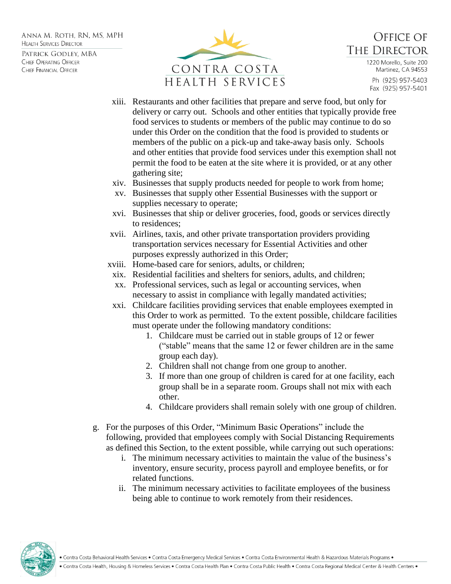ANNA M. ROTH. RN. MS. MPH **HEALTH SERVICES DIRECTOR** 

PATRICK GODLEY, MBA CHIEF OPERATING OFFICER CHIEF FINANCIAL OFFICER



**OFFICE OF** THE DIRECTOR 1220 Morello, Suite 200 Martinez, CA 94553

Ph (925) 957-5403 Fax (925) 957-5401

- xiii. Restaurants and other facilities that prepare and serve food, but only for delivery or carry out. Schools and other entities that typically provide free food services to students or members of the public may continue to do so under this Order on the condition that the food is provided to students or members of the public on a pick-up and take-away basis only. Schools and other entities that provide food services under this exemption shall not permit the food to be eaten at the site where it is provided, or at any other gathering site;
- xiv. Businesses that supply products needed for people to work from home;
- xv. Businesses that supply other Essential Businesses with the support or supplies necessary to operate;
- xvi. Businesses that ship or deliver groceries, food, goods or services directly to residences;
- xvii. Airlines, taxis, and other private transportation providers providing transportation services necessary for Essential Activities and other purposes expressly authorized in this Order;
- xviii. Home-based care for seniors, adults, or children;
- xix. Residential facilities and shelters for seniors, adults, and children;
- xx. Professional services, such as legal or accounting services, when necessary to assist in compliance with legally mandated activities;
- xxi. Childcare facilities providing services that enable employees exempted in this Order to work as permitted. To the extent possible, childcare facilities must operate under the following mandatory conditions:
	- 1. Childcare must be carried out in stable groups of 12 or fewer ("stable" means that the same 12 or fewer children are in the same group each day).
	- 2. Children shall not change from one group to another.
	- 3. If more than one group of children is cared for at one facility, each group shall be in a separate room. Groups shall not mix with each other.
	- 4. Childcare providers shall remain solely with one group of children.
- g. For the purposes of this Order, "Minimum Basic Operations" include the following, provided that employees comply with Social Distancing Requirements as defined this Section, to the extent possible, while carrying out such operations:
	- i. The minimum necessary activities to maintain the value of the business's inventory, ensure security, process payroll and employee benefits, or for related functions.
	- ii. The minimum necessary activities to facilitate employees of the business being able to continue to work remotely from their residences.



. Contra Costa Behavioral Health Services • Contra Costa Emergency Medical Services • Contra Costa Environmental Health & Hazardous Materials Programs •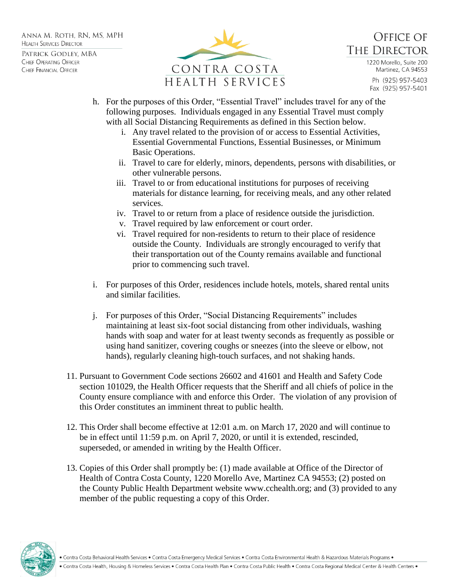ANNA M. ROTH. RN. MS. MPH **HEALTH SERVICES DIRECTOR** PATRICK GODLEY, MBA

CHIEF OPERATING OFFICER CHIEF FINANCIAL OFFICER



**OFFICE OF** THE DIRECTOR

1220 Morello, Suite 200 Martinez, CA 94553

Ph (925) 957-5403 Fax (925) 957-5401

- h. For the purposes of this Order, "Essential Travel" includes travel for any of the following purposes. Individuals engaged in any Essential Travel must comply with all Social Distancing Requirements as defined in this Section below.
	- i. Any travel related to the provision of or access to Essential Activities, Essential Governmental Functions, Essential Businesses, or Minimum Basic Operations.
	- ii. Travel to care for elderly, minors, dependents, persons with disabilities, or other vulnerable persons.
	- iii. Travel to or from educational institutions for purposes of receiving materials for distance learning, for receiving meals, and any other related services.
	- iv. Travel to or return from a place of residence outside the jurisdiction.
	- v. Travel required by law enforcement or court order.
	- vi. Travel required for non-residents to return to their place of residence outside the County. Individuals are strongly encouraged to verify that their transportation out of the County remains available and functional prior to commencing such travel.
- i. For purposes of this Order, residences include hotels, motels, shared rental units and similar facilities.
- j. For purposes of this Order, "Social Distancing Requirements" includes maintaining at least six-foot social distancing from other individuals, washing hands with soap and water for at least twenty seconds as frequently as possible or using hand sanitizer, covering coughs or sneezes (into the sleeve or elbow, not hands), regularly cleaning high-touch surfaces, and not shaking hands.
- 11. Pursuant to Government Code sections 26602 and 41601 and Health and Safety Code section 101029, the Health Officer requests that the Sheriff and all chiefs of police in the County ensure compliance with and enforce this Order. The violation of any provision of this Order constitutes an imminent threat to public health.
- 12. This Order shall become effective at 12:01 a.m. on March 17, 2020 and will continue to be in effect until 11:59 p.m. on April 7, 2020, or until it is extended, rescinded, superseded, or amended in writing by the Health Officer.
- 13. Copies of this Order shall promptly be: (1) made available at Office of the Director of Health of Contra Costa County, 1220 Morello Ave, Martinez CA 94553; (2) posted on the County Public Health Department website www.cchealth.org; and (3) provided to any member of the public requesting a copy of this Order.



. Contra Costa Behavioral Health Services . Contra Costa Emergency Medical Services . Contra Costa Environmental Health & Hazardous Materials Programs .